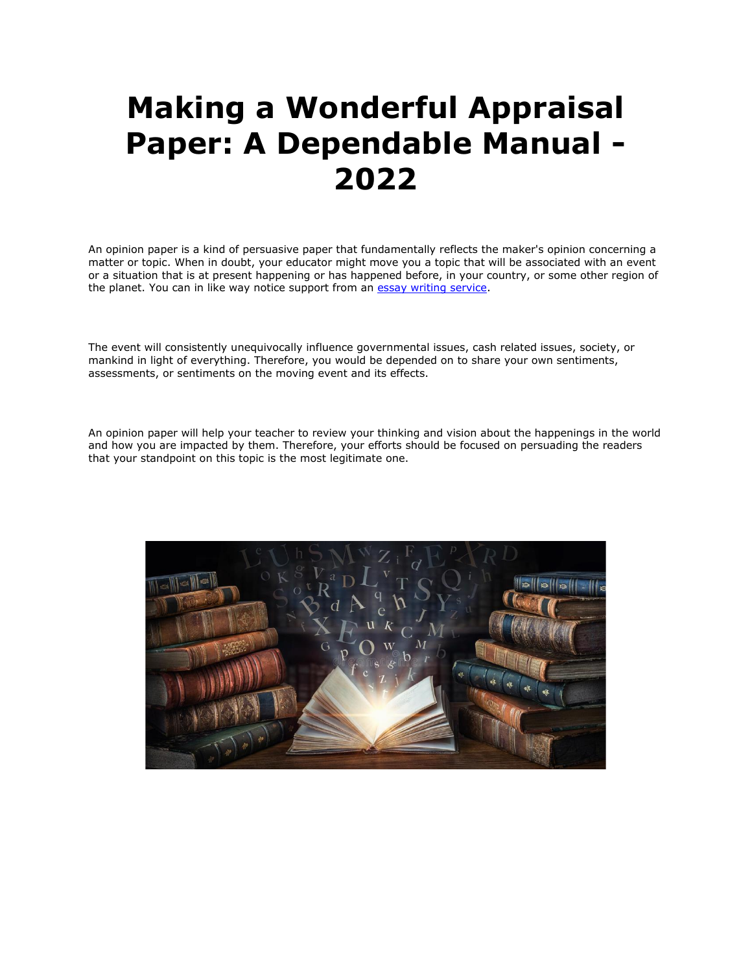## **Making a Wonderful Appraisal Paper: A Dependable Manual - 2022**

An opinion paper is a kind of persuasive paper that fundamentally reflects the maker's opinion concerning a matter or topic. When in doubt, your educator might move you a topic that will be associated with an event or a situation that is at present happening or has happened before, in your country, or some other region of the planet. You can in like way notice support from an [essay writing service.](https://www.myperfectwords.com/)

The event will consistently unequivocally influence governmental issues, cash related issues, society, or mankind in light of everything. Therefore, you would be depended on to share your own sentiments, assessments, or sentiments on the moving event and its effects.

An opinion paper will help your teacher to review your thinking and vision about the happenings in the world and how you are impacted by them. Therefore, your efforts should be focused on persuading the readers that your standpoint on this topic is the most legitimate one.

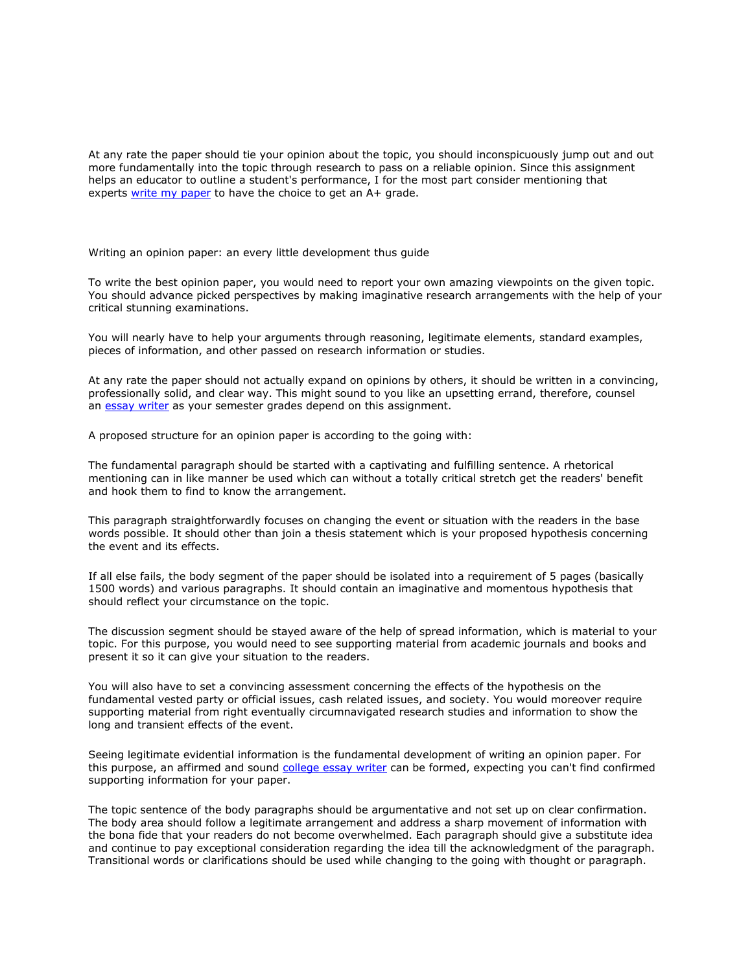At any rate the paper should tie your opinion about the topic, you should inconspicuously jump out and out more fundamentally into the topic through research to pass on a reliable opinion. Since this assignment helps an educator to outline a student's performance, I for the most part consider mentioning that experts [write my paper](https://www.myperfectpaper.net/) to have the choice to get an A+ grade.

Writing an opinion paper: an every little development thus guide

To write the best opinion paper, you would need to report your own amazing viewpoints on the given topic. You should advance picked perspectives by making imaginative research arrangements with the help of your critical stunning examinations.

You will nearly have to help your arguments through reasoning, legitimate elements, standard examples, pieces of information, and other passed on research information or studies.

At any rate the paper should not actually expand on opinions by others, it should be written in a convincing, professionally solid, and clear way. This might sound to you like an upsetting errand, therefore, counsel an [essay writer](https://www.5staressays.com/) as your semester grades depend on this assignment.

A proposed structure for an opinion paper is according to the going with:

The fundamental paragraph should be started with a captivating and fulfilling sentence. A rhetorical mentioning can in like manner be used which can without a totally critical stretch get the readers' benefit and hook them to find to know the arrangement.

This paragraph straightforwardly focuses on changing the event or situation with the readers in the base words possible. It should other than join a thesis statement which is your proposed hypothesis concerning the event and its effects.

If all else fails, the body segment of the paper should be isolated into a requirement of 5 pages (basically 1500 words) and various paragraphs. It should contain an imaginative and momentous hypothesis that should reflect your circumstance on the topic.

The discussion segment should be stayed aware of the help of spread information, which is material to your topic. For this purpose, you would need to see supporting material from academic journals and books and present it so it can give your situation to the readers.

You will also have to set a convincing assessment concerning the effects of the hypothesis on the fundamental vested party or official issues, cash related issues, and society. You would moreover require supporting material from right eventually circumnavigated research studies and information to show the long and transient effects of the event.

Seeing legitimate evidential information is the fundamental development of writing an opinion paper. For this purpose, an affirmed and sound [college essay writer](https://www.collegeessay.org/) can be formed, expecting you can't find confirmed supporting information for your paper.

The topic sentence of the body paragraphs should be argumentative and not set up on clear confirmation. The body area should follow a legitimate arrangement and address a sharp movement of information with the bona fide that your readers do not become overwhelmed. Each paragraph should give a substitute idea and continue to pay exceptional consideration regarding the idea till the acknowledgment of the paragraph. Transitional words or clarifications should be used while changing to the going with thought or paragraph.